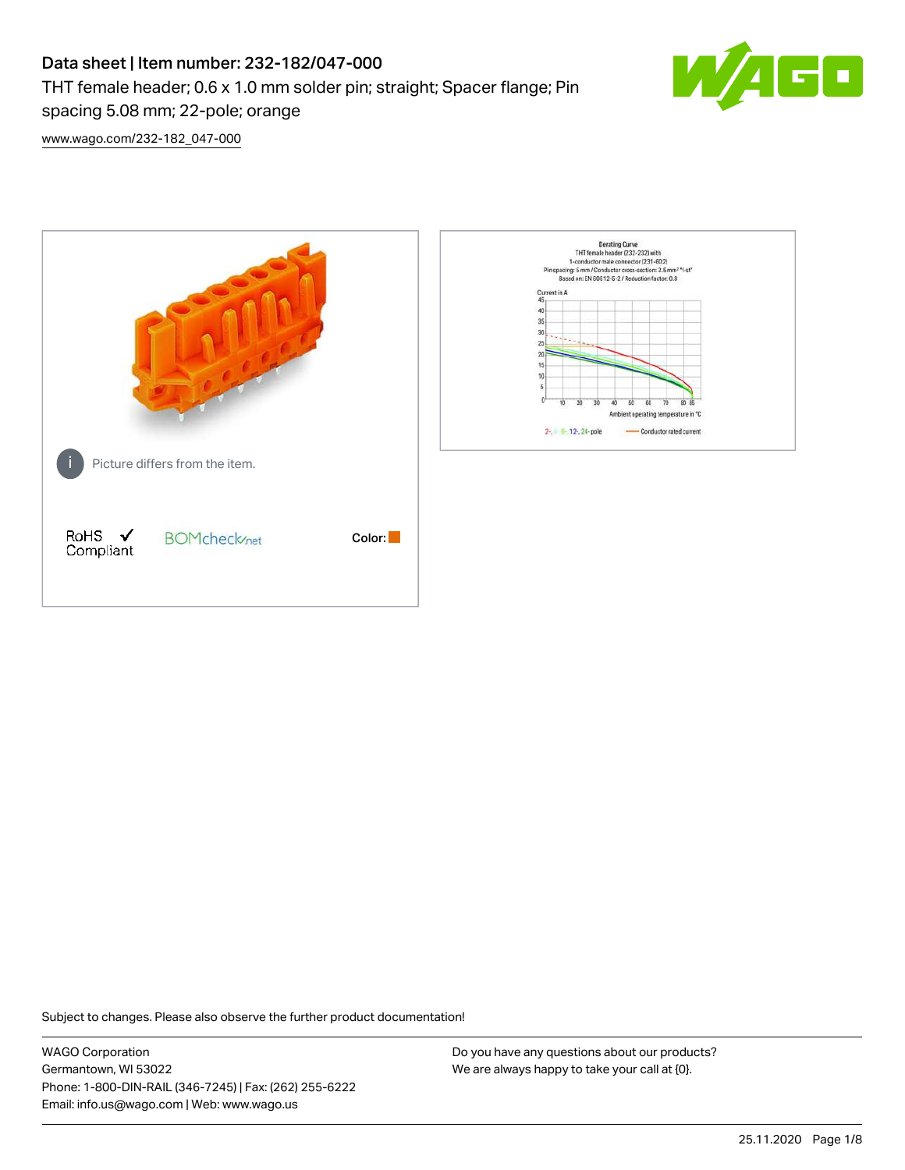# Data sheet | Item number: 232-182/047-000 THT female header; 0.6 x 1.0 mm solder pin; straight; Spacer flange; Pin spacing 5.08 mm; 22-pole; orange



[www.wago.com/232-182\\_047-000](http://www.wago.com/232-182_047-000)



Subject to changes. Please also observe the further product documentation!

WAGO Corporation Germantown, WI 53022 Phone: 1-800-DIN-RAIL (346-7245) | Fax: (262) 255-6222 Email: info.us@wago.com | Web: www.wago.us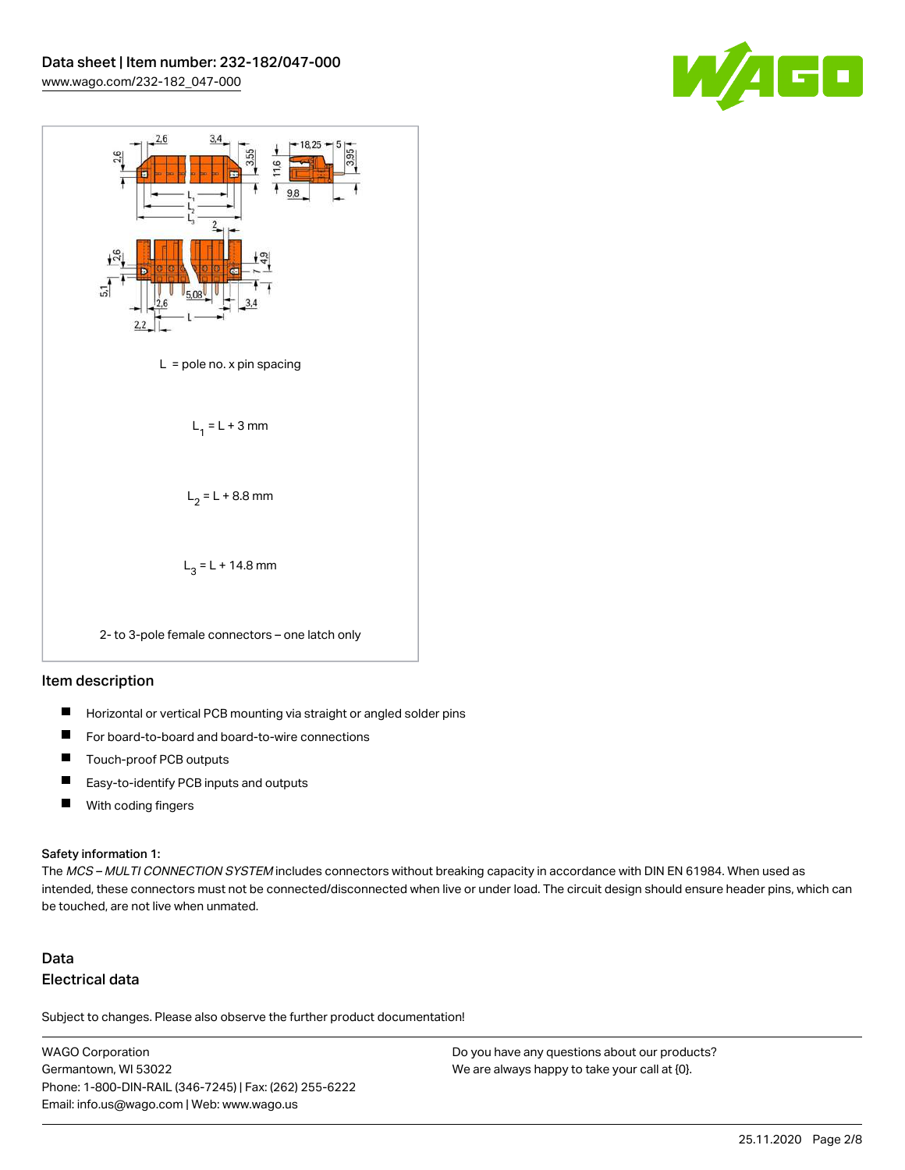



#### Item description

- $\blacksquare$ Horizontal or vertical PCB mounting via straight or angled solder pins
- П For board-to-board and board-to-wire connections
- $\blacksquare$ Touch-proof PCB outputs
- $\blacksquare$ Easy-to-identify PCB inputs and outputs
- $\blacksquare$ With coding fingers

#### Safety information 1:

The MCS - MULTI CONNECTION SYSTEM includes connectors without breaking capacity in accordance with DIN EN 61984. When used as intended, these connectors must not be connected/disconnected when live or under load. The circuit design should ensure header pins, which can be touched, are not live when unmated.

## Data Electrical data

Subject to changes. Please also observe the further product documentation!

WAGO Corporation Germantown, WI 53022 Phone: 1-800-DIN-RAIL (346-7245) | Fax: (262) 255-6222 Email: info.us@wago.com | Web: www.wago.us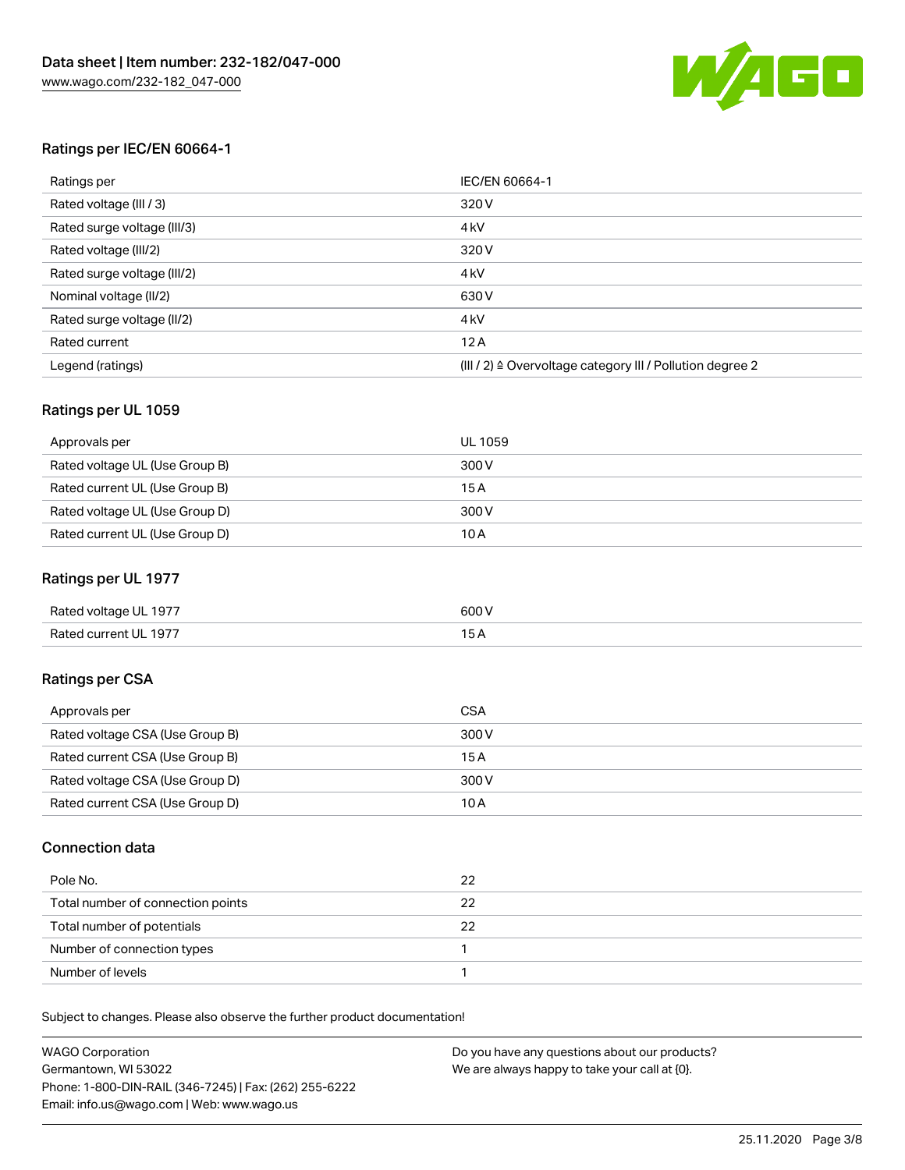

#### Ratings per IEC/EN 60664-1

| Ratings per                 | IEC/EN 60664-1                                                        |
|-----------------------------|-----------------------------------------------------------------------|
| Rated voltage (III / 3)     | 320 V                                                                 |
| Rated surge voltage (III/3) | 4 <sub>k</sub> V                                                      |
| Rated voltage (III/2)       | 320 V                                                                 |
| Rated surge voltage (III/2) | 4 <sub>k</sub> V                                                      |
| Nominal voltage (II/2)      | 630 V                                                                 |
| Rated surge voltage (II/2)  | 4 <sub>k</sub> V                                                      |
| Rated current               | 12A                                                                   |
| Legend (ratings)            | $(III / 2)$ $\triangle$ Overvoltage category III / Pollution degree 2 |

#### Ratings per UL 1059

| Approvals per                  | UL 1059 |
|--------------------------------|---------|
| Rated voltage UL (Use Group B) | 300 V   |
| Rated current UL (Use Group B) | 15 A    |
| Rated voltage UL (Use Group D) | 300 V   |
| Rated current UL (Use Group D) | 10A     |

#### Ratings per UL 1977

| Rated voltage UL 1977 | 600 <sup>V</sup><br>. |
|-----------------------|-----------------------|
| Rated current UL 1977 |                       |

### Ratings per CSA

| Approvals per                   | CSA   |
|---------------------------------|-------|
| Rated voltage CSA (Use Group B) | 300 V |
| Rated current CSA (Use Group B) | 15 A  |
| Rated voltage CSA (Use Group D) | 300 V |
| Rated current CSA (Use Group D) | 10 A  |

#### Connection data

| Pole No.                          | 22 |
|-----------------------------------|----|
| Total number of connection points | 22 |
| Total number of potentials        | 22 |
| Number of connection types        |    |
| Number of levels                  |    |

Subject to changes. Please also observe the further product documentation!

| <b>WAGO Corporation</b>                                | Do you have any questions about our products? |
|--------------------------------------------------------|-----------------------------------------------|
| Germantown, WI 53022                                   | We are always happy to take your call at {0}. |
| Phone: 1-800-DIN-RAIL (346-7245)   Fax: (262) 255-6222 |                                               |
| Email: info.us@wago.com   Web: www.wago.us             |                                               |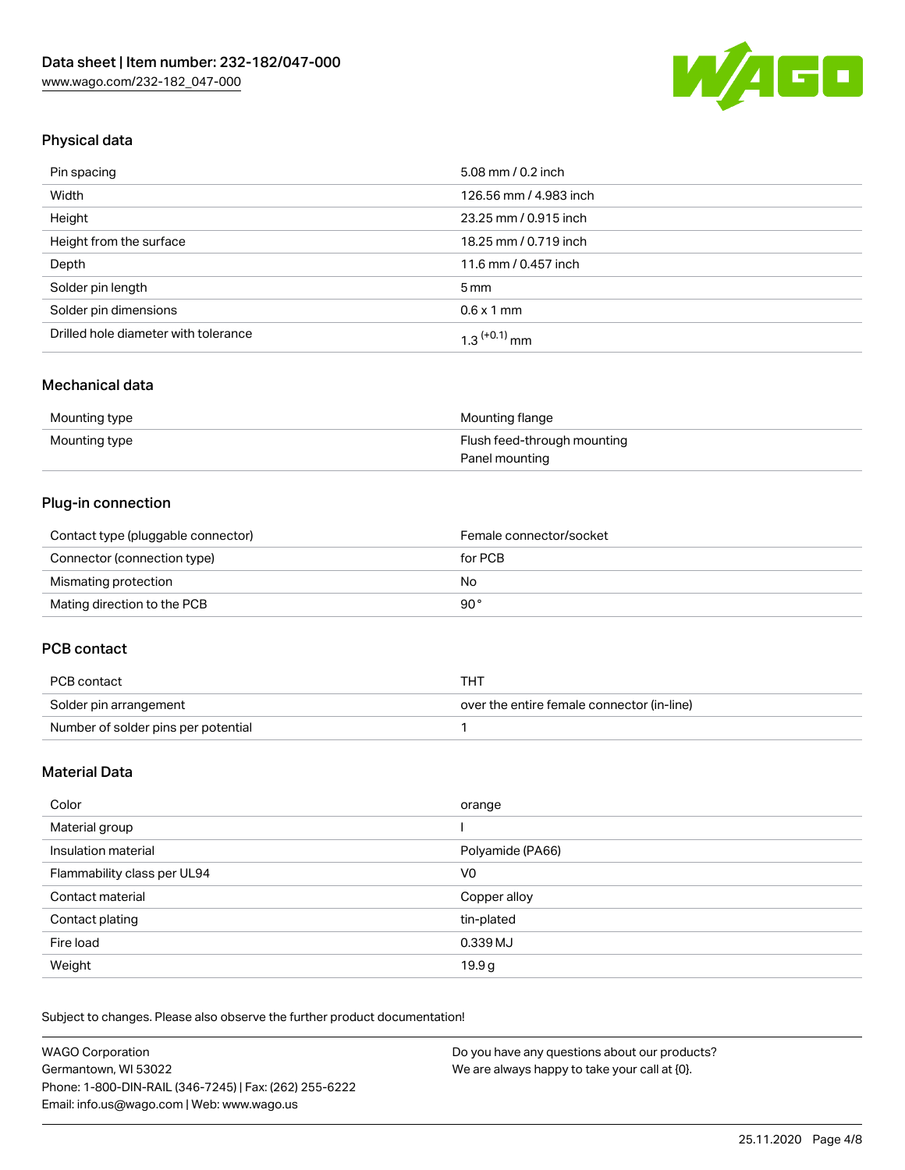

## Physical data

| Pin spacing                          | 5.08 mm / 0.2 inch     |
|--------------------------------------|------------------------|
| Width                                | 126.56 mm / 4.983 inch |
| Height                               | 23.25 mm / 0.915 inch  |
| Height from the surface              | 18.25 mm / 0.719 inch  |
| Depth                                | 11.6 mm / 0.457 inch   |
| Solder pin length                    | $5 \,\mathrm{mm}$      |
| Solder pin dimensions                | $0.6 \times 1$ mm      |
| Drilled hole diameter with tolerance | $1.3$ $(+0.1)$ mm      |

### Mechanical data

| Mounting type | Mounting flange             |
|---------------|-----------------------------|
| Mounting type | Flush feed-through mounting |
|               | Panel mounting              |

### Plug-in connection

| Contact type (pluggable connector) | Female connector/socket |
|------------------------------------|-------------------------|
| Connector (connection type)        | for PCB                 |
| Mismating protection               | No                      |
| Mating direction to the PCB        | 90°                     |

#### PCB contact

| PCB contact                         | тнт                                        |
|-------------------------------------|--------------------------------------------|
| Solder pin arrangement              | over the entire female connector (in-line) |
| Number of solder pins per potential |                                            |

## Material Data

| Color                       | orange           |
|-----------------------------|------------------|
| Material group              |                  |
| Insulation material         | Polyamide (PA66) |
| Flammability class per UL94 | V0               |
| Contact material            | Copper alloy     |
| Contact plating             | tin-plated       |
| Fire load                   | 0.339 MJ         |
| Weight                      | 19.9g            |

Subject to changes. Please also observe the further product documentation!

| <b>WAGO Corporation</b>                                | Do you have any questions about our products? |
|--------------------------------------------------------|-----------------------------------------------|
| Germantown, WI 53022                                   | We are always happy to take your call at {0}. |
| Phone: 1-800-DIN-RAIL (346-7245)   Fax: (262) 255-6222 |                                               |
| Email: info.us@wago.com   Web: www.wago.us             |                                               |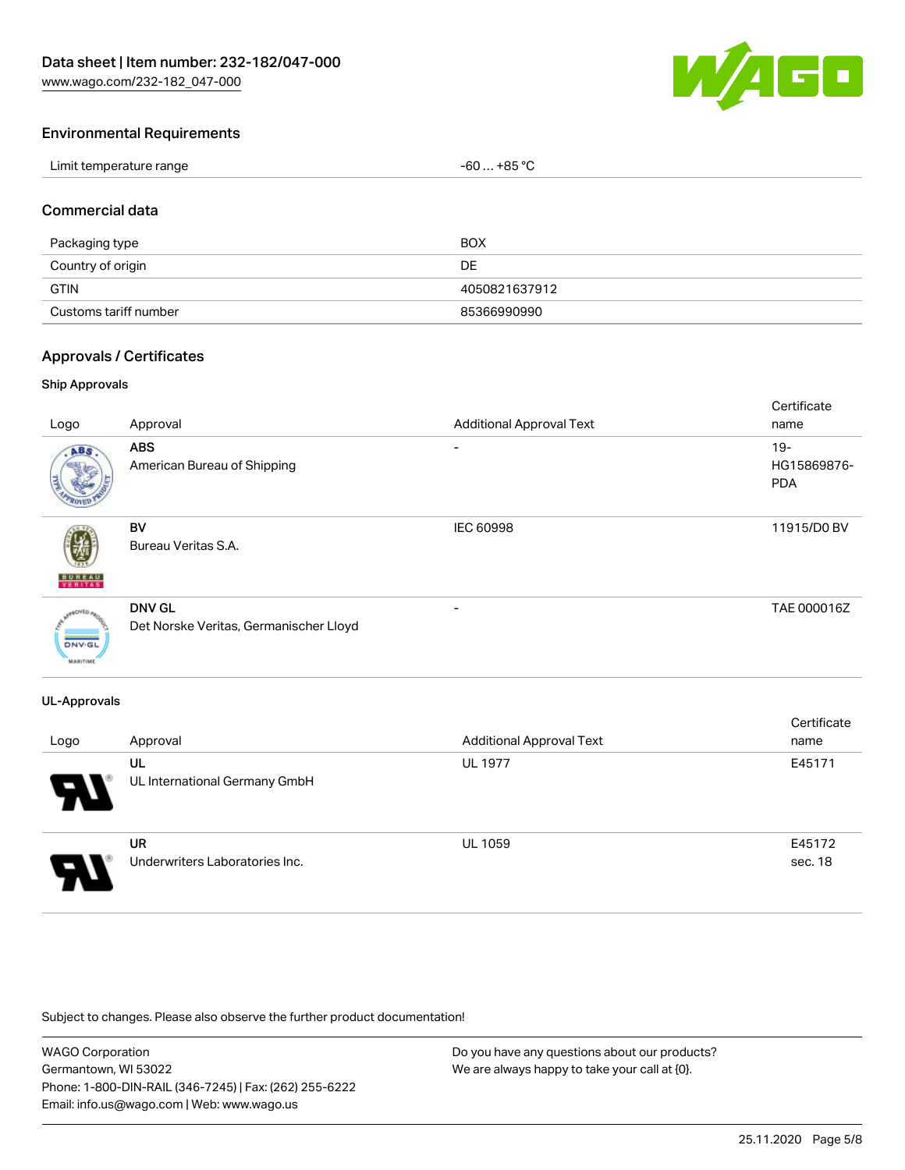[www.wago.com/232-182\\_047-000](http://www.wago.com/232-182_047-000)



#### Environmental Requirements

| Limit temperature range | $-60+85 °C$ |
|-------------------------|-------------|
|-------------------------|-------------|

#### Commercial data

| Packaging type        | <b>BOX</b>    |
|-----------------------|---------------|
| Country of origin     | DE            |
| <b>GTIN</b>           | 4050821637912 |
| Customs tariff number | 85366990990   |

#### Approvals / Certificates

#### Ship Approvals

| Logo                             | Approval                                                | <b>Additional Approval Text</b> | Certificate<br>name                 |
|----------------------------------|---------------------------------------------------------|---------------------------------|-------------------------------------|
| ABS                              | <b>ABS</b><br>American Bureau of Shipping               | ۰                               | $19 -$<br>HG15869876-<br><b>PDA</b> |
| <b>BUNEAU</b>                    | <b>BV</b><br>Bureau Veritas S.A.                        | IEC 60998                       | 11915/D0 BV                         |
| <b>DNV-GL</b><br><b>MARITIME</b> | <b>DNV GL</b><br>Det Norske Veritas, Germanischer Lloyd | $\overline{\phantom{0}}$        | TAE 000016Z                         |

#### UL-Approvals

| Logo                       | Approval                                    | <b>Additional Approval Text</b> | Certificate<br>name |
|----------------------------|---------------------------------------------|---------------------------------|---------------------|
| $\boldsymbol{\mathcal{A}}$ | UL<br>UL International Germany GmbH         | <b>UL 1977</b>                  | E45171              |
| 8                          | <b>UR</b><br>Underwriters Laboratories Inc. | <b>UL 1059</b>                  | E45172<br>sec. 18   |

Subject to changes. Please also observe the further product documentation!

WAGO Corporation Germantown, WI 53022 Phone: 1-800-DIN-RAIL (346-7245) | Fax: (262) 255-6222 Email: info.us@wago.com | Web: www.wago.us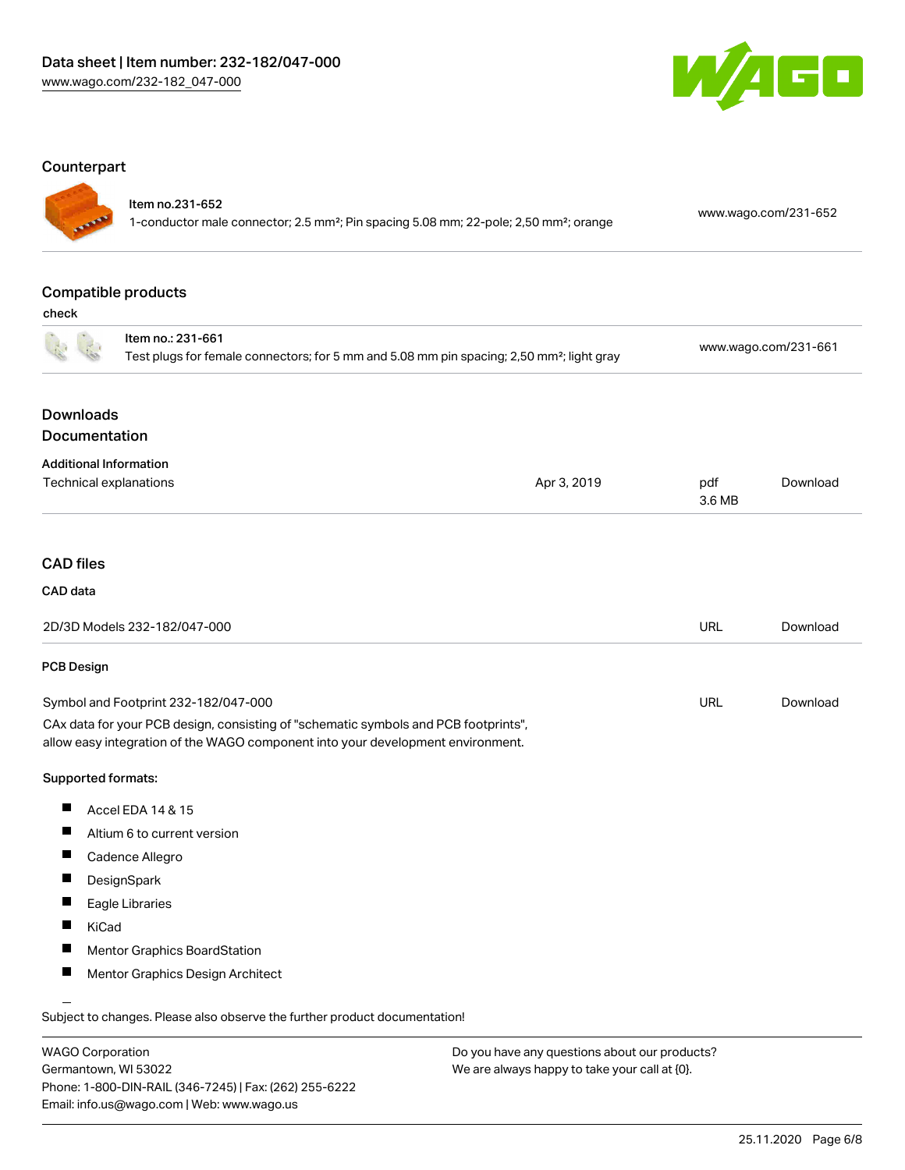

#### **Counterpart**

## Item no.231-652

1-conductor male connector; 2.5 mm²; Pin spacing 5.08 mm; 22-pole; 2,50 mm²; orange [www.wago.com/231-652](https://www.wago.com/231-652)

## Compatible products

check

|                                   | Item no.: 231-661<br>Test plugs for female connectors; for 5 mm and 5.08 mm pin spacing; 2,50 mm <sup>2</sup> ; light gray                                             |             |               | www.wago.com/231-661 |  |
|-----------------------------------|------------------------------------------------------------------------------------------------------------------------------------------------------------------------|-------------|---------------|----------------------|--|
|                                   |                                                                                                                                                                        |             |               |                      |  |
| <b>Downloads</b><br>Documentation |                                                                                                                                                                        |             |               |                      |  |
|                                   |                                                                                                                                                                        |             |               |                      |  |
|                                   | <b>Additional Information</b><br>Technical explanations                                                                                                                | Apr 3, 2019 | pdf<br>3.6 MB | Download             |  |
|                                   |                                                                                                                                                                        |             |               |                      |  |
| <b>CAD files</b>                  |                                                                                                                                                                        |             |               |                      |  |
| CAD data                          |                                                                                                                                                                        |             |               |                      |  |
|                                   | 2D/3D Models 232-182/047-000                                                                                                                                           |             | <b>URL</b>    | Download             |  |
| PCB Design                        |                                                                                                                                                                        |             |               |                      |  |
|                                   | Symbol and Footprint 232-182/047-000                                                                                                                                   |             | <b>URL</b>    | Download             |  |
|                                   | CAx data for your PCB design, consisting of "schematic symbols and PCB footprints",<br>allow easy integration of the WAGO component into your development environment. |             |               |                      |  |
| Supported formats:                |                                                                                                                                                                        |             |               |                      |  |
| ш                                 | Accel EDA 14 & 15                                                                                                                                                      |             |               |                      |  |
| ш                                 | Altium 6 to current version                                                                                                                                            |             |               |                      |  |
| Ш                                 | Cadence Allegro                                                                                                                                                        |             |               |                      |  |
| Ш                                 | DesignSpark                                                                                                                                                            |             |               |                      |  |
| ш                                 | Eagle Libraries                                                                                                                                                        |             |               |                      |  |
| Ш                                 | KiCad                                                                                                                                                                  |             |               |                      |  |
| ш                                 | <b>Mentor Graphics BoardStation</b>                                                                                                                                    |             |               |                      |  |
| ш                                 | Mentor Graphics Design Architect                                                                                                                                       |             |               |                      |  |
|                                   | Subject to changes. Please also observe the further product documentation!                                                                                             |             |               |                      |  |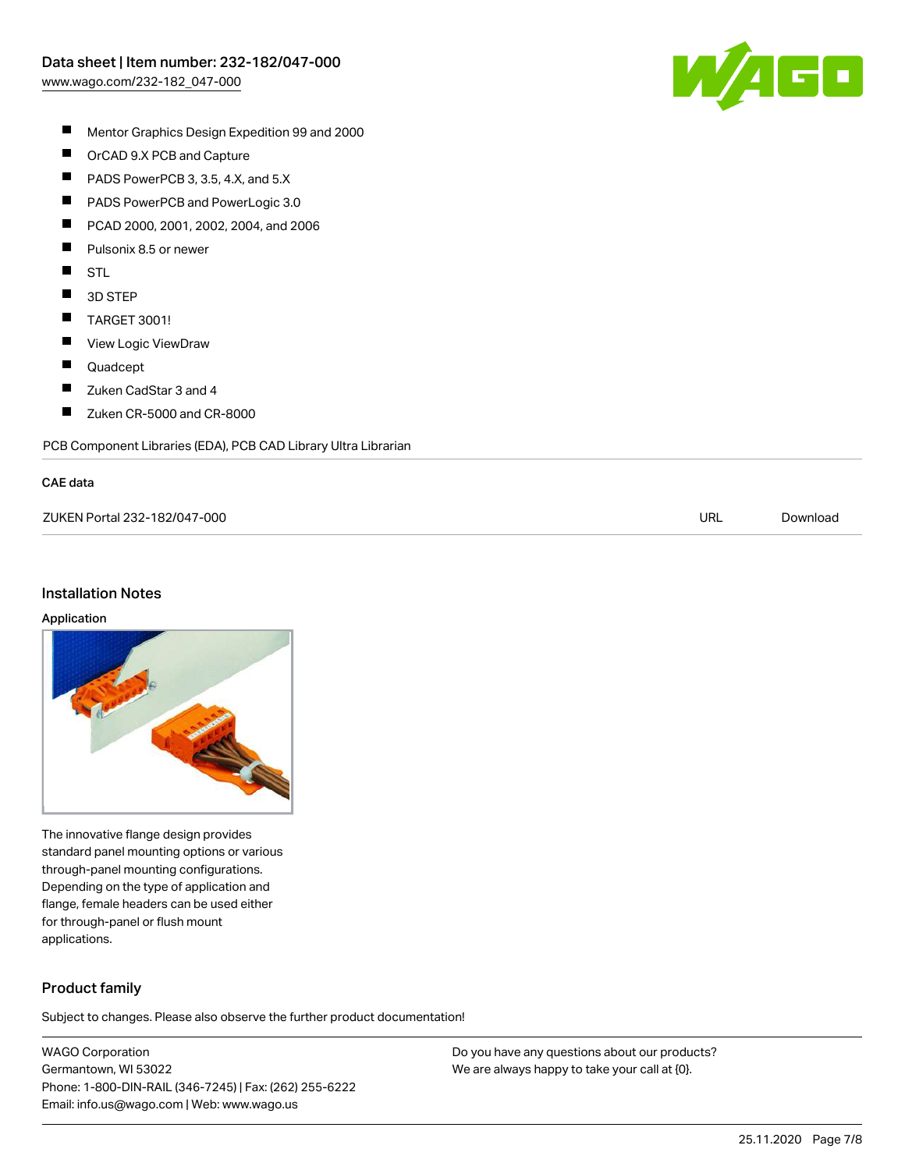

- $\blacksquare$ Mentor Graphics Design Expedition 99 and 2000
- $\blacksquare$ OrCAD 9.X PCB and Capture
- $\blacksquare$ PADS PowerPCB 3, 3.5, 4.X, and 5.X
- $\blacksquare$ PADS PowerPCB and PowerLogic 3.0
- $\blacksquare$ PCAD 2000, 2001, 2002, 2004, and 2006
- $\blacksquare$ Pulsonix 8.5 or newer
- $\blacksquare$ STL
- $\blacksquare$ 3D STEP
- $\blacksquare$ TARGET 3001!
- $\blacksquare$ View Logic ViewDraw
- $\blacksquare$ Quadcept
- $\blacksquare$ Zuken CadStar 3 and 4
- $\blacksquare$ Zuken CR-5000 and CR-8000

PCB Component Libraries (EDA), PCB CAD Library Ultra Librarian

#### CAE data

| ZUKEN Portal 232-182/047-000 | URL | Download |
|------------------------------|-----|----------|
|                              |     |          |

#### Installation Notes

#### Application



The innovative flange design provides standard panel mounting options or various through-panel mounting configurations. Depending on the type of application and flange, female headers can be used either for through-panel or flush mount applications.

### Product family

Subject to changes. Please also observe the further product documentation!

WAGO Corporation Germantown, WI 53022 Phone: 1-800-DIN-RAIL (346-7245) | Fax: (262) 255-6222 Email: info.us@wago.com | Web: www.wago.us